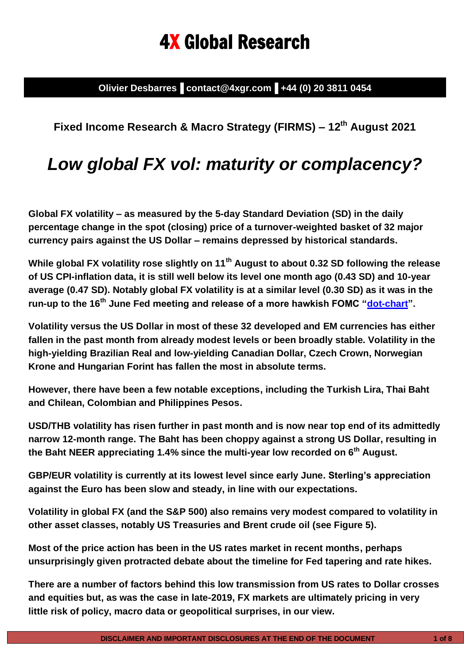# 4X Global Research

**Olivier Desbarres▐ contact@4xgr.com▐ +44 (0) 20 3811 0454**

## **Fixed Income Research & Macro Strategy (FIRMS) – 12th August 2021**

# *Low global FX vol: maturity or complacency?*

**Global FX volatility – as measured by the 5-day Standard Deviation (SD) in the daily percentage change in the spot (closing) price of a turnover-weighted basket of 32 major currency pairs against the US Dollar – remains depressed by historical standards.**

**While global FX volatility rose slightly on 11th August to about 0.32 SD following the release of US CPI-inflation data, it is still well below its level one month ago (0.43 SD) and 10-year average (0.47 SD). Notably global FX volatility is at a similar level (0.30 SD) as it was in the run-up to the 16th June Fed meeting and release of a more hawkish FOMC ["dot-chart"](https://www.federalreserve.gov/monetarypolicy/files/fomcprojtabl20210616.pdf).**

**Volatility versus the US Dollar in most of these 32 developed and EM currencies has either fallen in the past month from already modest levels or been broadly stable. Volatility in the high-yielding Brazilian Real and low-yielding Canadian Dollar, Czech Crown, Norwegian Krone and Hungarian Forint has fallen the most in absolute terms.** 

**However, there have been a few notable exceptions, including the Turkish Lira, Thai Baht and Chilean, Colombian and Philippines Pesos.**

**USD/THB volatility has risen further in past month and is now near top end of its admittedly narrow 12-month range. The Baht has been choppy against a strong US Dollar, resulting in the Baht NEER appreciating 1.4% since the multi-year low recorded on 6th August.**

**GBP/EUR volatility is currently at its lowest level since early June. Sterling's appreciation against the Euro has been slow and steady, in line with our expectations.** 

**Volatility in global FX (and the S&P 500) also remains very modest compared to volatility in other asset classes, notably US Treasuries and Brent crude oil (see Figure 5).** 

**Most of the price action has been in the US rates market in recent months, perhaps unsurprisingly given protracted debate about the timeline for Fed tapering and rate hikes.**

**There are a number of factors behind this low transmission from US rates to Dollar crosses and equities but, as was the case in late-2019, FX markets are ultimately pricing in very little risk of policy, macro data or geopolitical surprises, in our view.**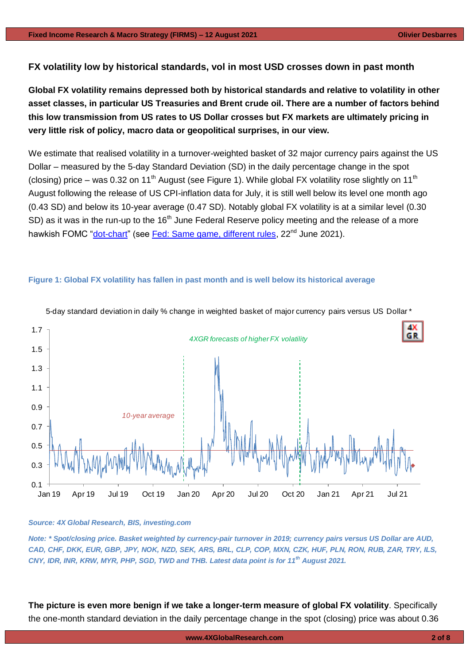#### **FX volatility low by historical standards, vol in most USD crosses down in past month**

**Global FX volatility remains depressed both by historical standards and relative to volatility in other asset classes, in particular US Treasuries and Brent crude oil. There are a number of factors behind this low transmission from US rates to US Dollar crosses but FX markets are ultimately pricing in very little risk of policy, macro data or geopolitical surprises, in our view.** 

We estimate that realised volatility in a turnover-weighted basket of 32 major currency pairs against the US Dollar – measured by the 5-day Standard Deviation (SD) in the daily percentage change in the spot (closing) price – was 0.32 on 11<sup>th</sup> August (see Figure 1). While global FX volatility rose slightly on 11<sup>th</sup> August following the release of US CPI-inflation data for July, it is still well below its level one month ago (0.43 SD) and below its 10-year average (0.47 SD). Notably global FX volatility is at a similar level (0.30 SD) as it was in the run-up to the 16<sup>th</sup> June Federal Reserve policy meeting and the release of a more hawkish FOMC ["dot-chart"](https://www.federalreserve.gov/monetarypolicy/files/fomcprojtabl20210616.pdf) (see [Fed: Same game, different rules,](https://www.4xglobalresearch.com/wp-content/uploads/2021/06/4X-Global-Research_Fed_Same-game-different-rules.pdf) 22<sup>nd</sup> June 2021).

#### **Figure 1: Global FX volatility has fallen in past month and is well below its historical average**



5-day standard deviation in daily % change in weighted basket of major currency pairs versus US Dollar \*

#### *Source: 4X Global Research, BIS, investing.com*

*Note: \* Spot/closing price. Basket weighted by currency-pair turnover in 2019; currency pairs versus US Dollar are AUD, CAD, CHF, DKK, EUR, GBP, JPY, NOK, NZD, SEK, ARS, BRL, CLP, COP, MXN, CZK, HUF, PLN, RON, RUB, ZAR, TRY, ILS, CNY, IDR, INR, KRW, MYR, PHP, SGD, TWD and THB. Latest data point is for 11th August 2021.*

**The picture is even more benign if we take a longer-term measure of global FX volatility**. Specifically the one-month standard deviation in the daily percentage change in the spot (closing) price was about 0.36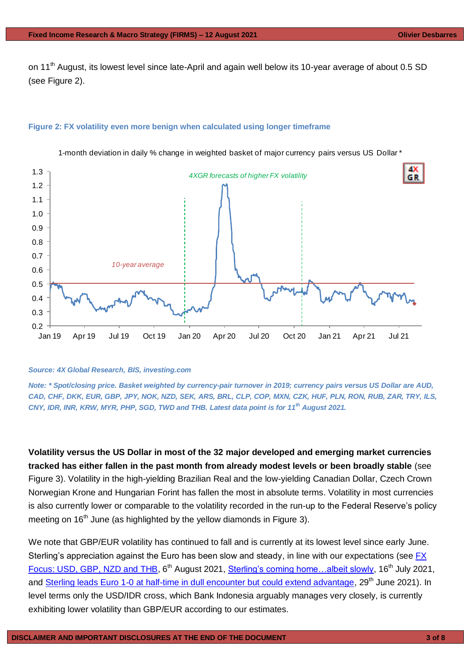on 11<sup>th</sup> August, its lowest level since late-April and again well below its 10-year average of about 0.5 SD (see Figure 2).

#### **Figure 2: FX volatility even more benign when calculated using longer timeframe**



1-month deviation in daily % change in weighted basket of major currency pairs versus US Dollar \*

#### *Source: 4X Global Research, BIS, investing.com*

*Note: \* Spot/closing price. Basket weighted by currency-pair turnover in 2019; currency pairs versus US Dollar are AUD, CAD, CHF, DKK, EUR, GBP, JPY, NOK, NZD, SEK, ARS, BRL, CLP, COP, MXN, CZK, HUF, PLN, RON, RUB, ZAR, TRY, ILS, CNY, IDR, INR, KRW, MYR, PHP, SGD, TWD and THB. Latest data point is for 11th August 2021.*

**Volatility versus the US Dollar in most of the 32 major developed and emerging market currencies tracked has either fallen in the past month from already modest levels or been broadly stable** (see Figure 3). Volatility in the high-yielding Brazilian Real and the low-yielding Canadian Dollar, Czech Crown Norwegian Krone and Hungarian Forint has fallen the most in absolute terms. Volatility in most currencies is also currently lower or comparable to the volatility recorded in the run-up to the Federal Reserve's policy meeting on  $16<sup>th</sup>$  June (as highlighted by the yellow diamonds in Figure 3).

We note that GBP/EUR volatility has continued to fall and is currently at its lowest level since early June. Sterling's appreciation against the Euro has been slow and steady, in line with our expectations (see FX [Focus: USD, GBP, NZD and THB,](https://www.4xglobalresearch.com/wp-content/uploads/2021/08/4X-Global-Research_-FX-Focus_USD-GBP-NZD-and-THB.pdf) 6<sup>th</sup> August 2021, Sterling's coming home...albeit slowly, 16<sup>th</sup> July 2021, and [Sterling leads Euro 1-0 at half-time in dull encounter but could extend advantage,](https://www.4xglobalresearch.com/wp-content/uploads/2021/06/4X-Global-Research_Sterling-leads-Euro-1-0-at-half-time-in-dull-encounter-but-could-extend-advantage.pdf) 29<sup>th</sup> June 2021). In level terms only the USD/IDR cross, which Bank Indonesia arguably manages very closely, is currently exhibiting lower volatility than GBP/EUR according to our estimates.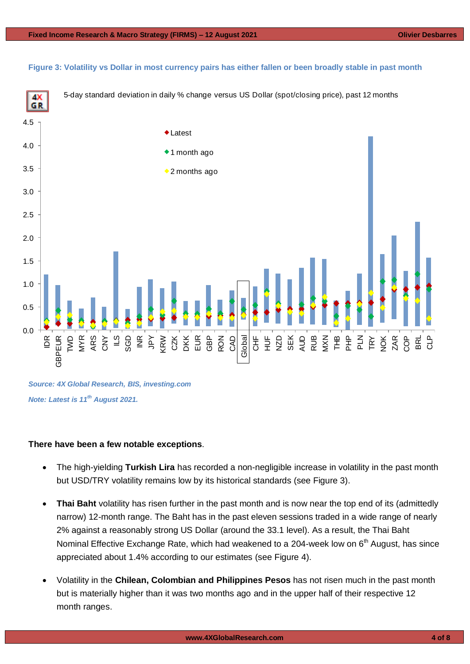#### **Figure 3: Volatility vs Dollar in most currency pairs has either fallen or been broadly stable in past month**



*Source: 4X Global Research, BIS, investing.com Note: Latest is 11th August 2021.*

#### **There have been a few notable exceptions**.

- The high-yielding **Turkish Lira** has recorded a non-negligible increase in volatility in the past month but USD/TRY volatility remains low by its historical standards (see Figure 3).
- **Thai Baht** volatility has risen further in the past month and is now near the top end of its (admittedly narrow) 12-month range. The Baht has in the past eleven sessions traded in a wide range of nearly 2% against a reasonably strong US Dollar (around the 33.1 level). As a result, the Thai Baht Nominal Effective Exchange Rate, which had weakened to a 204-week low on 6<sup>th</sup> August, has since appreciated about 1.4% according to our estimates (see Figure 4).
- Volatility in the **Chilean, Colombian and Philippines Pesos** has not risen much in the past month but is materially higher than it was two months ago and in the upper half of their respective 12 month ranges.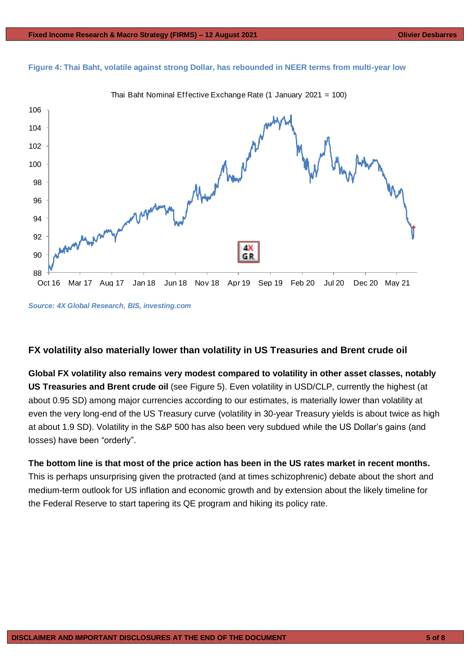





*Source: 4X Global Research, BIS, investing.com*

#### **FX volatility also materially lower than volatility in US Treasuries and Brent crude oil**

**Global FX volatility also remains very modest compared to volatility in other asset classes, notably US Treasuries and Brent crude oil** (see Figure 5). Even volatility in USD/CLP, currently the highest (at about 0.95 SD) among major currencies according to our estimates, is materially lower than volatility at even the very long-end of the US Treasury curve (volatility in 30-year Treasury yields is about twice as high at about 1.9 SD). Volatility in the S&P 500 has also been very subdued while the US Dollar's gains (and losses) have been "orderly".

**The bottom line is that most of the price action has been in the US rates market in recent months.** This is perhaps unsurprising given the protracted (and at times schizophrenic) debate about the short and medium-term outlook for US inflation and economic growth and by extension about the likely timeline for the Federal Reserve to start tapering its QE program and hiking its policy rate.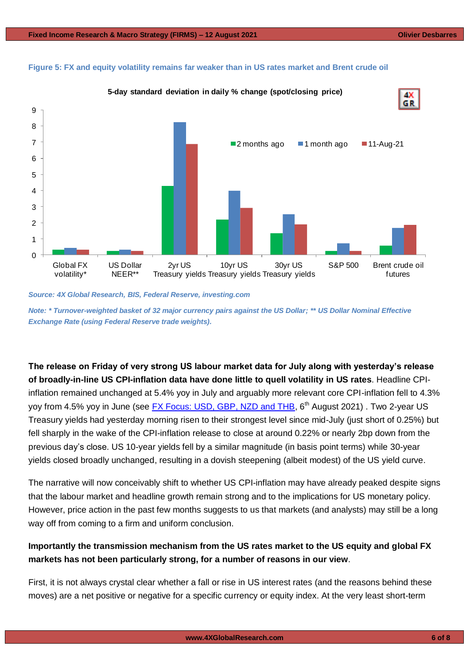5



### **Figure 5: FX and equity volatility remains far weaker than in US rates market and Brent crude oil**  2

*Source: 4X Global Research, BIS, Federal Reserve, investing.com*

*Note: \* Turnover-weighted basket of 32 major currency pairs against the US Dollar; \*\* US Dollar Nominal Effective Exchange Rate (using Federal Reserve trade weights).*

**The release on Friday of very strong US labour market data for July along with yesterday's release of broadly-in-line US CPI-inflation data have done little to quell volatility in US rates**. Headline CPIinflation remained unchanged at 5.4% yoy in July and arguably more relevant core CPI-inflation fell to 4.3% yoy from 4.5% yoy in June (see [FX Focus: USD, GBP, NZD and THB,](https://www.4xglobalresearch.com/wp-content/uploads/2021/08/4X-Global-Research_-FX-Focus_USD-GBP-NZD-and-THB.pdf) 6<sup>th</sup> August 2021). Two 2-year US Treasury yields had yesterday morning risen to their strongest level since mid-July (just short of 0.25%) but fell sharply in the wake of the CPI-inflation release to close at around 0.22% or nearly 2bp down from the previous day's close. US 10-year yields fell by a similar magnitude (in basis point terms) while 30-year yields closed broadly unchanged, resulting in a dovish steepening (albeit modest) of the US yield curve.

The narrative will now conceivably shift to whether US CPI-inflation may have already peaked despite signs that the labour market and headline growth remain strong and to the implications for US monetary policy. However, price action in the past few months suggests to us that markets (and analysts) may still be a long way off from coming to a firm and uniform conclusion.

#### **Importantly the transmission mechanism from the US rates market to the US equity and global FX markets has not been particularly strong, for a number of reasons in our view**.

First, it is not always crystal clear whether a fall or rise in US interest rates (and the reasons behind these moves) are a net positive or negative for a specific currency or equity index. At the very least short-term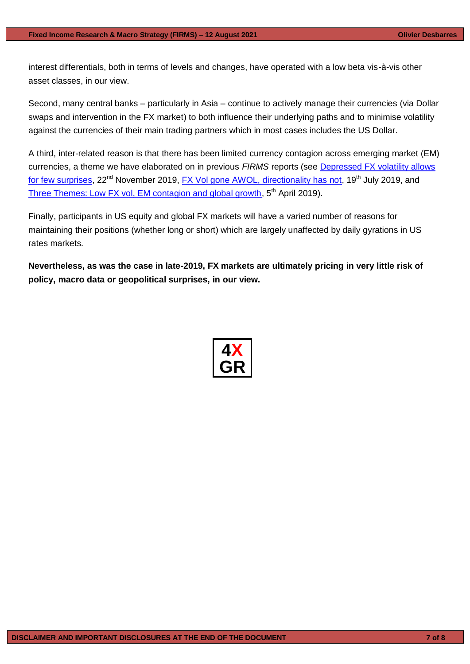interest differentials, both in terms of levels and changes, have operated with a low beta vis-à-vis other asset classes, in our view.

Second, many central banks – particularly in Asia – continue to actively manage their currencies (via Dollar swaps and intervention in the FX market) to both influence their underlying paths and to minimise volatility against the currencies of their main trading partners which in most cases includes the US Dollar.

A third, inter-related reason is that there has been limited currency contagion across emerging market (EM) currencies, a theme we have elaborated on in previous *FIRMS* reports (see [Depressed FX volatility allows](https://gallery.mailchimp.com/948838a86ce72ab6d8019a39d/files/ddd94680-3b68-4afe-9c3f-89f579b80e8a/4X_Global_Research_Depressed_FX_volatility_allows_for_few_surprises.pdf)  [for few surprises,](https://gallery.mailchimp.com/948838a86ce72ab6d8019a39d/files/ddd94680-3b68-4afe-9c3f-89f579b80e8a/4X_Global_Research_Depressed_FX_volatility_allows_for_few_surprises.pdf) 22<sup>nd</sup> November 2019, [FX Vol gone AWOL, directionality has not,](https://gallery.mailchimp.com/948838a86ce72ab6d8019a39d/files/b6c41998-5bcf-44f8-a313-553da9be3fce/4X_Global_Research_FX_Vol_gone_AWOL_directionality_has_not.pdf) 19<sup>th</sup> July 2019, and [Three Themes: Low FX vol, EM contagion and global growth,](https://gallery.mailchimp.com/948838a86ce72ab6d8019a39d/files/7e4c4474-3676-4367-a88a-5698c7b140a8/4X_Global_Research_Low_FX_vol_EM_contagion_and_global_growth.pdf) 5<sup>th</sup> April 2019).

Finally, participants in US equity and global FX markets will have a varied number of reasons for maintaining their positions (whether long or short) which are largely unaffected by daily gyrations in US rates markets.

**Nevertheless, as was the case in late-2019, FX markets are ultimately pricing in very little risk of policy, macro data or geopolitical surprises, in our view.**